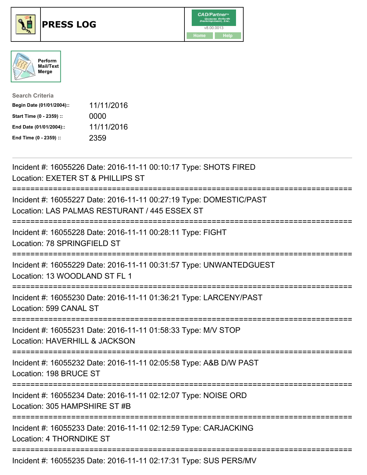





| <b>Search Criteria</b>    |            |
|---------------------------|------------|
| Begin Date (01/01/2004):: | 11/11/2016 |
| Start Time (0 - 2359) ::  | 0000       |
| End Date (01/01/2004)::   | 11/11/2016 |
| End Time (0 - 2359) ::    | 2359       |

| Incident #: 16055226 Date: 2016-11-11 00:10:17 Type: SHOTS FIRED<br>Location: EXETER ST & PHILLIPS ST                      |
|----------------------------------------------------------------------------------------------------------------------------|
| Incident #: 16055227 Date: 2016-11-11 00:27:19 Type: DOMESTIC/PAST<br>Location: LAS PALMAS RESTURANT / 445 ESSEX ST        |
| Incident #: 16055228 Date: 2016-11-11 00:28:11 Type: FIGHT<br>Location: 78 SPRINGFIELD ST                                  |
| Incident #: 16055229 Date: 2016-11-11 00:31:57 Type: UNWANTEDGUEST<br>Location: 13 WOODLAND ST FL 1<br>--------------      |
| Incident #: 16055230 Date: 2016-11-11 01:36:21 Type: LARCENY/PAST<br>Location: 599 CANAL ST<br>:========================   |
| Incident #: 16055231 Date: 2016-11-11 01:58:33 Type: M/V STOP<br>Location: HAVERHILL & JACKSON                             |
| Incident #: 16055232 Date: 2016-11-11 02:05:58 Type: A&B D/W PAST<br>Location: 198 BRUCE ST                                |
| Incident #: 16055234 Date: 2016-11-11 02:12:07 Type: NOISE ORD<br>Location: 305 HAMPSHIRE ST #B<br>----------------------- |
| Incident #: 16055233 Date: 2016-11-11 02:12:59 Type: CARJACKING<br><b>Location: 4 THORNDIKE ST</b>                         |
| Incident #: 16055235 Date: 2016-11-11 02:17:31 Type: SUS PERS/MV                                                           |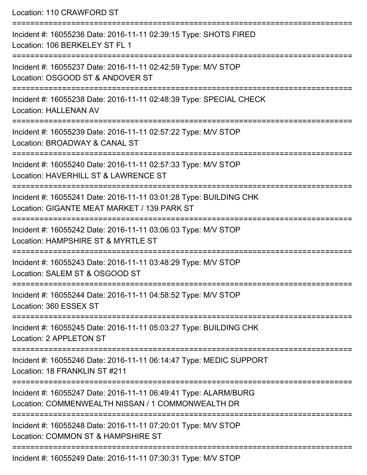| Location: 110 CRAWFORD ST                                                                                                      |
|--------------------------------------------------------------------------------------------------------------------------------|
| Incident #: 16055236 Date: 2016-11-11 02:39:15 Type: SHOTS FIRED<br>Location: 106 BERKELEY ST FL 1<br>------------------------ |
| Incident #: 16055237 Date: 2016-11-11 02:42:59 Type: M/V STOP<br>Location: OSGOOD ST & ANDOVER ST                              |
| Incident #: 16055238 Date: 2016-11-11 02:48:39 Type: SPECIAL CHECK<br><b>Location: HALLENAN AV</b>                             |
| Incident #: 16055239 Date: 2016-11-11 02:57:22 Type: M/V STOP<br>Location: BROADWAY & CANAL ST                                 |
| Incident #: 16055240 Date: 2016-11-11 02:57:33 Type: M/V STOP<br>Location: HAVERHILL ST & LAWRENCE ST                          |
| Incident #: 16055241 Date: 2016-11-11 03:01:28 Type: BUILDING CHK<br>Location: GIGANTE MEAT MARKET / 139 PARK ST               |
| Incident #: 16055242 Date: 2016-11-11 03:06:03 Type: M/V STOP<br>Location: HAMPSHIRE ST & MYRTLE ST<br>---------------------   |
| Incident #: 16055243 Date: 2016-11-11 03:48:29 Type: M/V STOP<br>Location: SALEM ST & OSGOOD ST                                |
| Incident #: 16055244 Date: 2016-11-11 04:58:52 Type: M/V STOP<br>Location: 360 ESSEX ST                                        |
| Incident #: 16055245 Date: 2016-11-11 05:03:27 Type: BUILDING CHK<br>Location: 2 APPLETON ST                                   |
| Incident #: 16055246 Date: 2016-11-11 06:14:47 Type: MEDIC SUPPORT<br>Location: 18 FRANKLIN ST #211                            |
| Incident #: 16055247 Date: 2016-11-11 06:49:41 Type: ALARM/BURG<br>Location: COMMENWEALTH NISSAN / 1 COMMONWEALTH DR           |
| Incident #: 16055248 Date: 2016-11-11 07:20:01 Type: M/V STOP<br>Location: COMMON ST & HAMPSHIRE ST                            |
|                                                                                                                                |

Incident #: 16055249 Date: 2016-11-11 07:30:31 Type: M/V STOP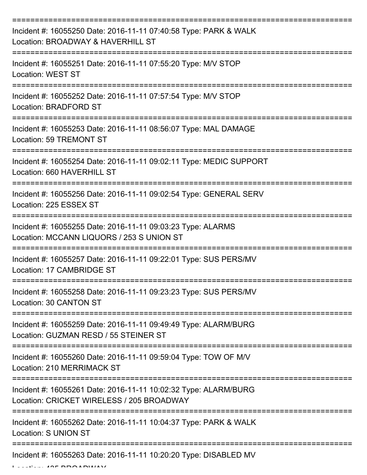| Incident #: 16055250 Date: 2016-11-11 07:40:58 Type: PARK & WALK<br>Location: BROADWAY & HAVERHILL ST        |
|--------------------------------------------------------------------------------------------------------------|
| Incident #: 16055251 Date: 2016-11-11 07:55:20 Type: M/V STOP<br><b>Location: WEST ST</b>                    |
| Incident #: 16055252 Date: 2016-11-11 07:57:54 Type: M/V STOP<br><b>Location: BRADFORD ST</b>                |
| Incident #: 16055253 Date: 2016-11-11 08:56:07 Type: MAL DAMAGE<br><b>Location: 59 TREMONT ST</b>            |
| Incident #: 16055254 Date: 2016-11-11 09:02:11 Type: MEDIC SUPPORT<br>Location: 660 HAVERHILL ST             |
| Incident #: 16055256 Date: 2016-11-11 09:02:54 Type: GENERAL SERV<br>Location: 225 ESSEX ST                  |
| Incident #: 16055255 Date: 2016-11-11 09:03:23 Type: ALARMS<br>Location: MCCANN LIQUORS / 253 S UNION ST     |
| Incident #: 16055257 Date: 2016-11-11 09:22:01 Type: SUS PERS/MV<br>Location: 17 CAMBRIDGE ST                |
| Incident #: 16055258 Date: 2016-11-11 09:23:23 Type: SUS PERS/MV<br>Location: 30 CANTON ST                   |
| Incident #: 16055259 Date: 2016-11-11 09:49:49 Type: ALARM/BURG<br>Location: GUZMAN RESD / 55 STEINER ST     |
| Incident #: 16055260 Date: 2016-11-11 09:59:04 Type: TOW OF M/V<br>Location: 210 MERRIMACK ST                |
| Incident #: 16055261 Date: 2016-11-11 10:02:32 Type: ALARM/BURG<br>Location: CRICKET WIRELESS / 205 BROADWAY |
| Incident #: 16055262 Date: 2016-11-11 10:04:37 Type: PARK & WALK<br><b>Location: S UNION ST</b>              |
| Incident #: 16055263 Date: 2016-11-11 10:20:20 Type: DISABLED MV                                             |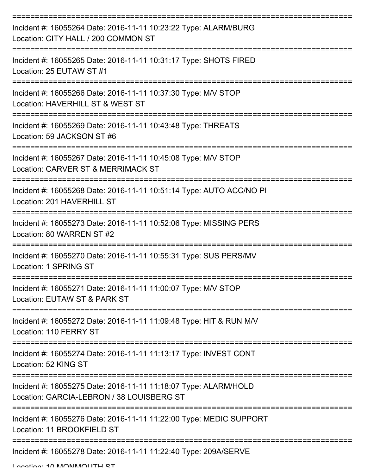| Incident #: 16055264 Date: 2016-11-11 10:23:22 Type: ALARM/BURG<br>Location: CITY HALL / 200 COMMON ST                      |
|-----------------------------------------------------------------------------------------------------------------------------|
| Incident #: 16055265 Date: 2016-11-11 10:31:17 Type: SHOTS FIRED<br>Location: 25 EUTAW ST #1                                |
| Incident #: 16055266 Date: 2016-11-11 10:37:30 Type: M/V STOP<br>Location: HAVERHILL ST & WEST ST                           |
| Incident #: 16055269 Date: 2016-11-11 10:43:48 Type: THREATS<br>Location: 59 JACKSON ST #6                                  |
| Incident #: 16055267 Date: 2016-11-11 10:45:08 Type: M/V STOP<br>Location: CARVER ST & MERRIMACK ST                         |
| ======================<br>Incident #: 16055268 Date: 2016-11-11 10:51:14 Type: AUTO ACC/NO PI<br>Location: 201 HAVERHILL ST |
| Incident #: 16055273 Date: 2016-11-11 10:52:06 Type: MISSING PERS<br>Location: 80 WARREN ST #2                              |
| Incident #: 16055270 Date: 2016-11-11 10:55:31 Type: SUS PERS/MV<br>Location: 1 SPRING ST                                   |
| Incident #: 16055271 Date: 2016-11-11 11:00:07 Type: M/V STOP<br>Location: EUTAW ST & PARK ST                               |
| Incident #: 16055272 Date: 2016-11-11 11:09:48 Type: HIT & RUN M/V<br>Location: 110 FERRY ST                                |
| Incident #: 16055274 Date: 2016-11-11 11:13:17 Type: INVEST CONT<br>Location: 52 KING ST                                    |
| Incident #: 16055275 Date: 2016-11-11 11:18:07 Type: ALARM/HOLD<br>Location: GARCIA-LEBRON / 38 LOUISBERG ST                |
| Incident #: 16055276 Date: 2016-11-11 11:22:00 Type: MEDIC SUPPORT<br>Location: 11 BROOKFIELD ST                            |
| Incident #: 16055278 Date: 2016-11-11 11:22:40 Type: 209A/SERVE                                                             |

Location: 10 MONMOUTH CT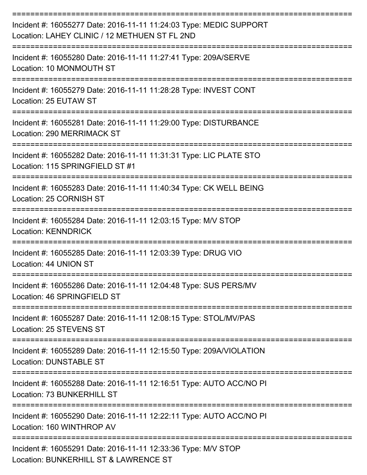| Incident #: 16055277 Date: 2016-11-11 11:24:03 Type: MEDIC SUPPORT<br>Location: LAHEY CLINIC / 12 METHUEN ST FL 2ND |
|---------------------------------------------------------------------------------------------------------------------|
| Incident #: 16055280 Date: 2016-11-11 11:27:41 Type: 209A/SERVE<br>Location: 10 MONMOUTH ST                         |
| Incident #: 16055279 Date: 2016-11-11 11:28:28 Type: INVEST CONT<br>Location: 25 EUTAW ST                           |
| Incident #: 16055281 Date: 2016-11-11 11:29:00 Type: DISTURBANCE<br>Location: 290 MERRIMACK ST                      |
| Incident #: 16055282 Date: 2016-11-11 11:31:31 Type: LIC PLATE STO<br>Location: 115 SPRINGFIELD ST #1               |
| Incident #: 16055283 Date: 2016-11-11 11:40:34 Type: CK WELL BEING<br>Location: 25 CORNISH ST                       |
| Incident #: 16055284 Date: 2016-11-11 12:03:15 Type: M/V STOP<br><b>Location: KENNDRICK</b>                         |
| Incident #: 16055285 Date: 2016-11-11 12:03:39 Type: DRUG VIO<br>Location: 44 UNION ST                              |
| Incident #: 16055286 Date: 2016-11-11 12:04:48 Type: SUS PERS/MV<br>Location: 46 SPRINGFIELD ST                     |
| Incident #: 16055287 Date: 2016-11-11 12:08:15 Type: STOL/MV/PAS<br>Location: 25 STEVENS ST                         |
| Incident #: 16055289 Date: 2016-11-11 12:15:50 Type: 209A/VIOLATION<br><b>Location: DUNSTABLE ST</b>                |
| Incident #: 16055288 Date: 2016-11-11 12:16:51 Type: AUTO ACC/NO PI<br>Location: 73 BUNKERHILL ST                   |
| Incident #: 16055290 Date: 2016-11-11 12:22:11 Type: AUTO ACC/NO PI<br>Location: 160 WINTHROP AV                    |
| Incident #: 16055291 Date: 2016-11-11 12:33:36 Type: M/V STOP<br>Location: BUNKERHILL ST & LAWRENCE ST              |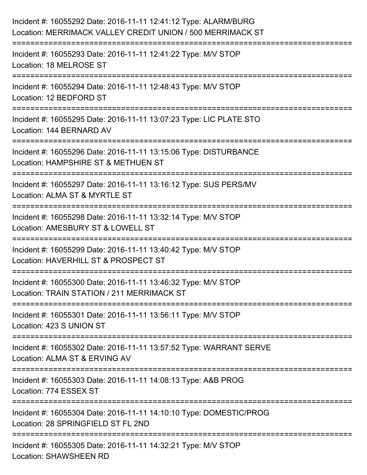| Incident #: 16055292 Date: 2016-11-11 12:41:12 Type: ALARM/BURG<br>Location: MERRIMACK VALLEY CREDIT UNION / 500 MERRIMACK ST                     |
|---------------------------------------------------------------------------------------------------------------------------------------------------|
| Incident #: 16055293 Date: 2016-11-11 12:41:22 Type: M/V STOP<br>Location: 18 MELROSE ST                                                          |
| Incident #: 16055294 Date: 2016-11-11 12:48:43 Type: M/V STOP<br>Location: 12 BEDFORD ST                                                          |
| Incident #: 16055295 Date: 2016-11-11 13:07:23 Type: LIC PLATE STO<br>Location: 144 BERNARD AV                                                    |
| Incident #: 16055296 Date: 2016-11-11 13:15:06 Type: DISTURBANCE<br>Location: HAMPSHIRE ST & METHUEN ST<br>======================<br>============ |
| Incident #: 16055297 Date: 2016-11-11 13:16:12 Type: SUS PERS/MV<br>Location: ALMA ST & MYRTLE ST                                                 |
| ======================<br>Incident #: 16055298 Date: 2016-11-11 13:32:14 Type: M/V STOP<br>Location: AMESBURY ST & LOWELL ST                      |
| Incident #: 16055299 Date: 2016-11-11 13:40:42 Type: M/V STOP<br>Location: HAVERHILL ST & PROSPECT ST                                             |
| Incident #: 16055300 Date: 2016-11-11 13:46:32 Type: M/V STOP<br>Location: TRAIN STATION / 211 MERRIMACK ST                                       |
| Incident #: 16055301 Date: 2016-11-11 13:56:11 Type: M/V STOP<br>Location: 423 S UNION ST                                                         |
| Incident #: 16055302 Date: 2016-11-11 13:57:52 Type: WARRANT SERVE<br>Location: ALMA ST & ERVING AV                                               |
| Incident #: 16055303 Date: 2016-11-11 14:08:13 Type: A&B PROG<br>Location: 774 ESSEX ST                                                           |
| Incident #: 16055304 Date: 2016-11-11 14:10:10 Type: DOMESTIC/PROG<br>Location: 28 SPRINGFIELD ST FL 2ND                                          |
| Incident #: 16055305 Date: 2016-11-11 14:32:21 Type: M/V STOP<br><b>Location: SHAWSHEEN RD</b>                                                    |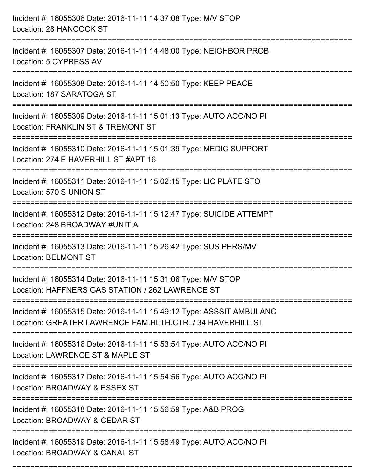| Incident #: 16055306 Date: 2016-11-11 14:37:08 Type: M/V STOP<br>Location: 28 HANCOCK ST                                              |
|---------------------------------------------------------------------------------------------------------------------------------------|
| Incident #: 16055307 Date: 2016-11-11 14:48:00 Type: NEIGHBOR PROB<br>Location: 5 CYPRESS AV                                          |
| Incident #: 16055308 Date: 2016-11-11 14:50:50 Type: KEEP PEACE<br>Location: 187 SARATOGA ST                                          |
| Incident #: 16055309 Date: 2016-11-11 15:01:13 Type: AUTO ACC/NO PI<br>Location: FRANKLIN ST & TREMONT ST                             |
| Incident #: 16055310 Date: 2016-11-11 15:01:39 Type: MEDIC SUPPORT<br>Location: 274 E HAVERHILL ST #APT 16<br>======================= |
| Incident #: 16055311 Date: 2016-11-11 15:02:15 Type: LIC PLATE STO<br>Location: 570 S UNION ST                                        |
| Incident #: 16055312 Date: 2016-11-11 15:12:47 Type: SUICIDE ATTEMPT<br>Location: 248 BROADWAY #UNIT A                                |
| Incident #: 16055313 Date: 2016-11-11 15:26:42 Type: SUS PERS/MV<br><b>Location: BELMONT ST</b>                                       |
| Incident #: 16055314 Date: 2016-11-11 15:31:06 Type: M/V STOP<br>Location: HAFFNERS GAS STATION / 262 LAWRENCE ST                     |
| Incident #: 16055315 Date: 2016-11-11 15:49:12 Type: ASSSIT AMBULANC<br>Location: GREATER LAWRENCE FAM.HLTH.CTR. / 34 HAVERHILL ST    |
| Incident #: 16055316 Date: 2016-11-11 15:53:54 Type: AUTO ACC/NO PI<br>Location: LAWRENCE ST & MAPLE ST                               |
| Incident #: 16055317 Date: 2016-11-11 15:54:56 Type: AUTO ACC/NO PI<br>Location: BROADWAY & ESSEX ST                                  |
| Incident #: 16055318 Date: 2016-11-11 15:56:59 Type: A&B PROG<br>Location: BROADWAY & CEDAR ST                                        |
| Incident #: 16055319 Date: 2016-11-11 15:58:49 Type: AUTO ACC/NO PI<br>Location: BROADWAY & CANAL ST                                  |

===========================================================================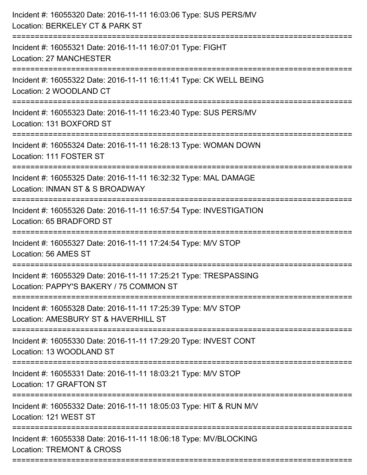| Incident #: 16055320 Date: 2016-11-11 16:03:06 Type: SUS PERS/MV<br>Location: BERKELEY CT & PARK ST<br>:=========================    |
|--------------------------------------------------------------------------------------------------------------------------------------|
| Incident #: 16055321 Date: 2016-11-11 16:07:01 Type: FIGHT<br><b>Location: 27 MANCHESTER</b>                                         |
| Incident #: 16055322 Date: 2016-11-11 16:11:41 Type: CK WELL BEING<br>Location: 2 WOODLAND CT<br>========================            |
| Incident #: 16055323 Date: 2016-11-11 16:23:40 Type: SUS PERS/MV<br>Location: 131 BOXFORD ST                                         |
| Incident #: 16055324 Date: 2016-11-11 16:28:13 Type: WOMAN DOWN<br>Location: 111 FOSTER ST                                           |
| Incident #: 16055325 Date: 2016-11-11 16:32:32 Type: MAL DAMAGE<br>Location: INMAN ST & S BROADWAY<br>========================       |
| Incident #: 16055326 Date: 2016-11-11 16:57:54 Type: INVESTIGATION<br>Location: 65 BRADFORD ST<br>================================== |
| Incident #: 16055327 Date: 2016-11-11 17:24:54 Type: M/V STOP<br>Location: 56 AMES ST                                                |
| Incident #: 16055329 Date: 2016-11-11 17:25:21 Type: TRESPASSING<br>Location: PAPPY'S BAKERY / 75 COMMON ST                          |
| Incident #: 16055328 Date: 2016-11-11 17:25:39 Type: M/V STOP<br>Location: AMESBURY ST & HAVERHILL ST                                |
| Incident #: 16055330 Date: 2016-11-11 17:29:20 Type: INVEST CONT<br>Location: 13 WOODLAND ST                                         |
| Incident #: 16055331 Date: 2016-11-11 18:03:21 Type: M/V STOP<br>Location: 17 GRAFTON ST                                             |
| Incident #: 16055332 Date: 2016-11-11 18:05:03 Type: HIT & RUN M/V<br>Location: 121 WEST ST                                          |
| Incident #: 16055338 Date: 2016-11-11 18:06:18 Type: MV/BLOCKING<br>Location: TREMONT & CROSS                                        |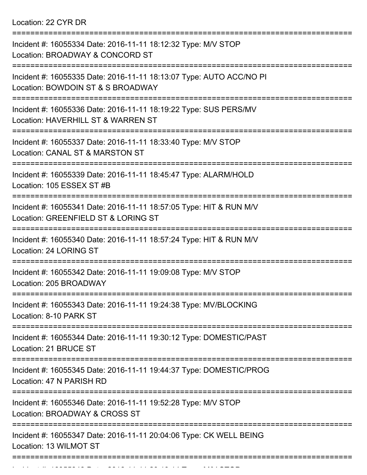Location: 22 CYR DR

| Incident #: 16055334 Date: 2016-11-11 18:12:32 Type: M/V STOP<br>Location: BROADWAY & CONCORD ST                      |
|-----------------------------------------------------------------------------------------------------------------------|
| Incident #: 16055335 Date: 2016-11-11 18:13:07 Type: AUTO ACC/NO PI<br>Location: BOWDOIN ST & S BROADWAY              |
| Incident #: 16055336 Date: 2016-11-11 18:19:22 Type: SUS PERS/MV<br>Location: HAVERHILL ST & WARREN ST                |
| Incident #: 16055337 Date: 2016-11-11 18:33:40 Type: M/V STOP<br>Location: CANAL ST & MARSTON ST                      |
| Incident #: 16055339 Date: 2016-11-11 18:45:47 Type: ALARM/HOLD<br>Location: 105 ESSEX ST #B                          |
| Incident #: 16055341 Date: 2016-11-11 18:57:05 Type: HIT & RUN M/V<br>Location: GREENFIELD ST & LORING ST             |
| Incident #: 16055340 Date: 2016-11-11 18:57:24 Type: HIT & RUN M/V<br>Location: 24 LORING ST                          |
| Incident #: 16055342 Date: 2016-11-11 19:09:08 Type: M/V STOP<br>Location: 205 BROADWAY                               |
| Incident #: 16055343 Date: 2016-11-11 19:24:38 Type: MV/BLOCKING<br>Location: 8-10 PARK ST                            |
| :=====================<br>Incident #: 16055344 Date: 2016-11-11 19:30:12 Type: DOMESTIC/PAST<br>Location: 21 BRUCE ST |
| Incident #: 16055345 Date: 2016-11-11 19:44:37 Type: DOMESTIC/PROG<br>Location: 47 N PARISH RD                        |
| Incident #: 16055346 Date: 2016-11-11 19:52:28 Type: M/V STOP<br>Location: BROADWAY & CROSS ST                        |
| Incident #: 16055347 Date: 2016-11-11 20:04:06 Type: CK WELL BEING<br>Location: 13 WILMOT ST                          |
|                                                                                                                       |

Incident #: 16055348 Date: 2016 11 11 20:10:14 Type: M/V STOP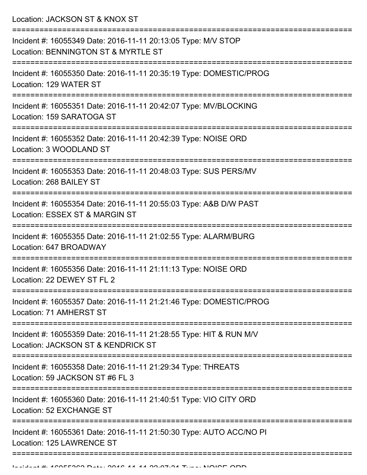Location: JACKSON ST & KNOX ST

| Incident #: 16055349 Date: 2016-11-11 20:13:05 Type: M/V STOP<br>Location: BENNINGTON ST & MYRTLE ST     |
|----------------------------------------------------------------------------------------------------------|
| Incident #: 16055350 Date: 2016-11-11 20:35:19 Type: DOMESTIC/PROG<br>Location: 129 WATER ST             |
| Incident #: 16055351 Date: 2016-11-11 20:42:07 Type: MV/BLOCKING<br>Location: 159 SARATOGA ST            |
| Incident #: 16055352 Date: 2016-11-11 20:42:39 Type: NOISE ORD<br>Location: 3 WOODLAND ST                |
| Incident #: 16055353 Date: 2016-11-11 20:48:03 Type: SUS PERS/MV<br>Location: 268 BAILEY ST              |
| Incident #: 16055354 Date: 2016-11-11 20:55:03 Type: A&B D/W PAST<br>Location: ESSEX ST & MARGIN ST      |
| Incident #: 16055355 Date: 2016-11-11 21:02:55 Type: ALARM/BURG<br>Location: 647 BROADWAY                |
| Incident #: 16055356 Date: 2016-11-11 21:11:13 Type: NOISE ORD<br>Location: 22 DEWEY ST FL 2             |
| Incident #: 16055357 Date: 2016-11-11 21:21:46 Type: DOMESTIC/PROG<br>Location: 71 AMHERST ST            |
| Incident #: 16055359 Date: 2016-11-11 21:28:55 Type: HIT & RUN M/V<br>Location: JACKSON ST & KENDRICK ST |
| Incident #: 16055358 Date: 2016-11-11 21:29:34 Type: THREATS<br>Location: 59 JACKSON ST #6 FL 3          |
| Incident #: 16055360 Date: 2016-11-11 21:40:51 Type: VIO CITY ORD<br>Location: 52 EXCHANGE ST            |
| Incident #: 16055361 Date: 2016-11-11 21:50:30 Type: AUTO ACC/NO PI<br>Location: 125 LAWRENCE ST         |
|                                                                                                          |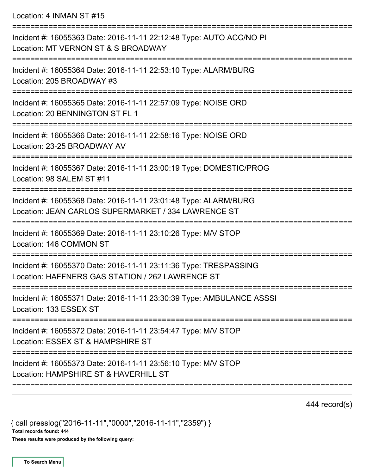Location: 4 INMAN ST #15

| Incident #: 16055363 Date: 2016-11-11 22:12:48 Type: AUTO ACC/NO PI<br>Location: MT VERNON ST & S BROADWAY                           |
|--------------------------------------------------------------------------------------------------------------------------------------|
| Incident #: 16055364 Date: 2016-11-11 22:53:10 Type: ALARM/BURG<br>Location: 205 BROADWAY #3<br>==================================== |
| Incident #: 16055365 Date: 2016-11-11 22:57:09 Type: NOISE ORD<br>Location: 20 BENNINGTON ST FL 1                                    |
| Incident #: 16055366 Date: 2016-11-11 22:58:16 Type: NOISE ORD<br>Location: 23-25 BROADWAY AV                                        |
| ---------<br>Incident #: 16055367 Date: 2016-11-11 23:00:19 Type: DOMESTIC/PROG<br>Location: 98 SALEM ST #11                         |
| Incident #: 16055368 Date: 2016-11-11 23:01:48 Type: ALARM/BURG<br>Location: JEAN CARLOS SUPERMARKET / 334 LAWRENCE ST               |
| Incident #: 16055369 Date: 2016-11-11 23:10:26 Type: M/V STOP<br>Location: 146 COMMON ST                                             |
| Incident #: 16055370 Date: 2016-11-11 23:11:36 Type: TRESPASSING<br>Location: HAFFNERS GAS STATION / 262 LAWRENCE ST                 |
| Incident #: 16055371 Date: 2016-11-11 23:30:39 Type: AMBULANCE ASSSI<br>Location: 133 ESSEX ST                                       |
| Incident #: 16055372 Date: 2016-11-11 23:54:47 Type: M/V STOP<br>Location: ESSEX ST & HAMPSHIRE ST                                   |
| Incident #: 16055373 Date: 2016-11-11 23:56:10 Type: M/V STOP<br>Location: HAMPSHIRE ST & HAVERHILL ST                               |
|                                                                                                                                      |

444 record(s)

{ call presslog("2016-11-11","0000","2016-11-11","2359") }

Total records found: 444

These results were produced by the following query: